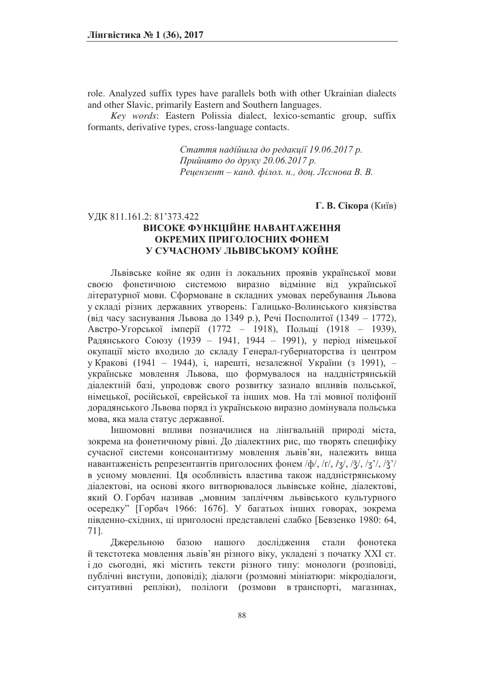role. Analyzed suffix types have parallels both with other Ukrainian dialects and other Slavic, primarily Eastern and Southern languages.

*Key words*: Eastern Polissia dialect, lexico-semantic group, suffix formants, derivative types, cross-language contacts.

> Cтаття надійшла до редакції 19.06.2017 р. Прийнято до друку 20.06.2017 р. Рецензент - канд. філол. н., доц. Лєснова В. В.

#### **Г. В. Сікора** (Київ)

# УДК 811.161.2: 81'373.422 **ВИСОКЕ ФУНКШЙНЕ НАВАНТАЖЕННЯ ОКРЕМИХ ПРИГОЛОСНИХ ФОНЕМ У СУЧАСНОМУ ЛЬВІВСЬКОМУ КОЙНЕ**

Львівське койне як один із локальних проявів української мови своєю фонетичною системою виразно відмінне від української літературної мови. Сформоване в складних умовах перебування Львова у складі різних державних утворень: Галицько-Волинського князівства (від часу заснування Львова до 1349 р.), Речі Посполитої (1349 – 1772), Австро-Угорської імперії (1772 – 1918), Польщі (1918 – 1939), Радянського Союзу (1939 - 1941, 1944 - 1991), у період німецької окупації місто входило до складу Генерал-губернаторства із центром у Кракові (1941 – 1944), і, нарешті, незалежної України (з 1991), українське мовлення Львова, що формувалося на наддністрянській діалектній базі, упродовж свого розвитку зазнало впливів польської, німецької, російської, єврейської та інших мов. На тлі мовної поліфонії дорадянського Львова поряд із українською виразно домінувала польська мова, яка мала статус державної.

Іншомовні впливи позначилися на лінгвальній природі міста, зокрема на фонетичному рівні. До діалектних рис, що творять специфіку сучасної системи консонантизму мовлення львів'ян, належить вища навантаженість репрезентантів приголосних фонем  $\phi/$ ,  $\pi/$ ,  $\pi/$ ,  $\frac{\pi}{3}$ ,  $\frac{\pi}{3}$ ,  $\frac{\pi}{3}$ в усному мовленні. Ця особливість властива також наддністрянському діалектові, на основі якого витворювалося львівське койне, діалектові, який О. Горбач називав "мовним запліччям львівського культурного осередку" [Горбач 1966: 1676]. У багатьох інших говорах, зокрема південно-східних, ці приголосні представлені слабко [Бевзенко 1980: 64, 71].

Джерельною базою нашого дослідження стали фонотека й текстотека мовлення львів'ян різного віку, укладені з початку XXI ст. і до сьогодні, які містить тексти різного типу: монологи (розповіді, публічні виступи, доповіді); діалоги (розмовні мініатюри: мікродіалоги, ситуативні репліки), полілоги (розмови в транспорті, магазинах,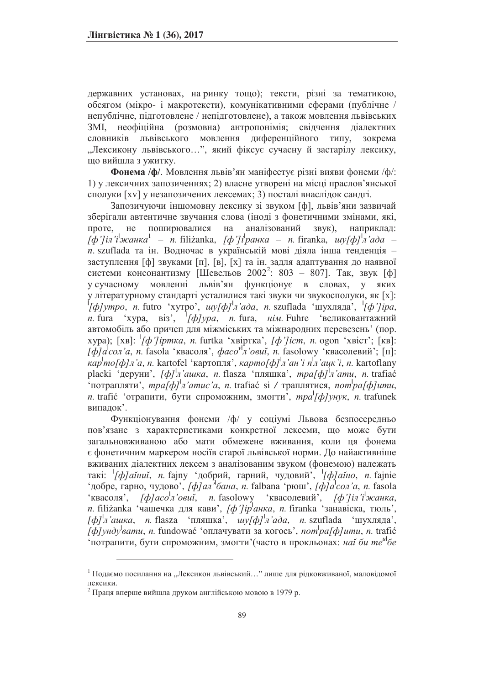державних установах, на ринку тощо); тексти, різні за тематикою, обсягом (мікро- і макротексти), комунікативними сферами (публічне / непублічне, підготовлене / непідготовлене), а також мовлення львівських ЗМІ, неофіційна (розмовна) антропонімія; свідчення діалектних словників львівського мовлення диференційного типу, зокрема "Лексикону львівського...", який фіксує сучасну й застарілу лексику, що вийшла з ужитку.

Фонема /ф/. Мовлення львів'ян маніфестує різні вияви фонеми /ф/: 1) у лексичних запозиченнях; 2) власне утворені на місці праслов'янської сполуки [xv] у незапозичених лексемах; 3) посталі внаслідок сандгі.

Запозичуючи іншомовну лексику зі звуком [ф], львів'яни зазвичай зберігали автентичне звучання слова (іноді з фонетичними змінами, які, проте, не поширювалися на аналізований звук), наприклад:  $[\dot{\phi}$ *'] іл* '*i*<sup>'</sup>жанка<sup>1</sup> – *n*. filiżanka, *[ф']* i<sup>*paнка – n*. firanka, *шу*[ф]<sup>|</sup>л'ада –</sup> *n*. szuflada та ін. Водночас в українській мові діяла інша тенденція заступлення [ф] звуками [п], [в], [х] та ін. задля адаптування до наявної системи консонантизму [Шевельов 2002<sup>2</sup>: 803 – 807]. Так, звук [ф] у сучасному мовленні львів'ян функціонує в словах, у яких у літературному стандарті усталилися такі звуки чи звукосполуки, як [x]:<br>*[ф]утро, n*. futro 'хутро', *шу[ф]<sup>1</sup>л'ада, n*. szuflada 'шухляда', *<sup>1</sup>[ф']ipa*,  $n.$  fura 'xypa,  $\overline{bis}$ ',  $\frac{1}{\phi}$ / $\phi$ / $\gamma$ ра, *n*. fura, *нім*. Fuhre евликовантажний автомобіль або причеп для міжміських та міжнародних перевезень' (пор. xypa); [xв]: <sup>1</sup>[ф *]* ipmкa, *n*. furtka 'хвіртка', [ф '] icm, *n*. ogon 'хвіст'; [кв]:  $[\phi]a^{\dagger}$ сол'а, *n*. fasola 'квасоля',  $\phi$ асо<sup>уі</sup>л'овий, *n*. fasolowy 'квасолевий'; [п]: *kap*<sup>|</sup>mo[ф]л'а, n. kartofel 'картопля', *карто[ф]*<sup>|</sup>л'ан'i n<sup>'</sup>л'ацк'i, n. kartoflany placki 'деруни', [ф]<sup>|</sup>л'ашка, n. flasza 'пляшка', mpa[ф]<sup>|</sup>л'ати, n. trafiać <sup>1</sup> и отрапляти', *mpa[ф]<sup>|</sup>л'amuc'a*, *n*. trafiać si / траплятися, *nom<sup>|</sup>pa[ф]umu*, *n*. trafić 'отрапити, бути спроможним, змогти', *mpa*<sup>1</sup>[ф]унук, *n*. trafunek випадок'.

Функціонування фонеми /ф/ у соціумі Львова безпосередньо пов'язане з характеристиками конкретної лексеми, що може бути загальновживаною або мати обмежене вживання, коли ця фонема  $\epsilon$  фонетичним маркером носіїв старої львівської норми. До найактивніше вживаних діалектних лексем з аналізованим звуком (фонемою) належать такі: <sup>*|</sup>[ф]аїниї, п*. fajny 'добрий, гарний, чудовий', *<sup>|</sup>[ф]аїно*, *п*. fajnie</sup> <sup>t</sup>добре, гарно, чудово', *[ф]ал*<sup>'</sup><sup>*ł</sup>бана*, *n*. falbana 'рюш', *[ф]а<sup>l</sup>сол'а*, *n*. fasola</sup> <sup>*v*</sup>**kBacoJR**, *[ф]aco<sup>l</sup>n'osuĭ, n. fasolowy 'квасолевий', [ф']iл'i<sup>1</sup>жанка, n*. filiżanka чашечка для кави', [ф']iр анка, n. firanka чанавіска, тюль',  $[\phi]$ <sup>|</sup>л'ашка, *n*. flasza 'пляшка', *шу* $[\phi]$ <sup>|</sup>л'ада, *n*. szuflada 'шухляда',  $\left[\phi\right]$ унду<sup>1</sup>вати, *n.* fundować 'оплачувати за когось', *nom<sup>1</sup>pa*[ф]ити, *n.* trafić <sup>1</sup> нотрапити, бути спроможним, змогти' (часто в прокльонах: най би те<sup>и все</sup>

 $1$  Подаємо посилання на "Лексикон львівський..." лише для рідковживаної, маловідомої лексики.

 $2$  Праця вперше вийшла друком англійською мовою в 1979 р.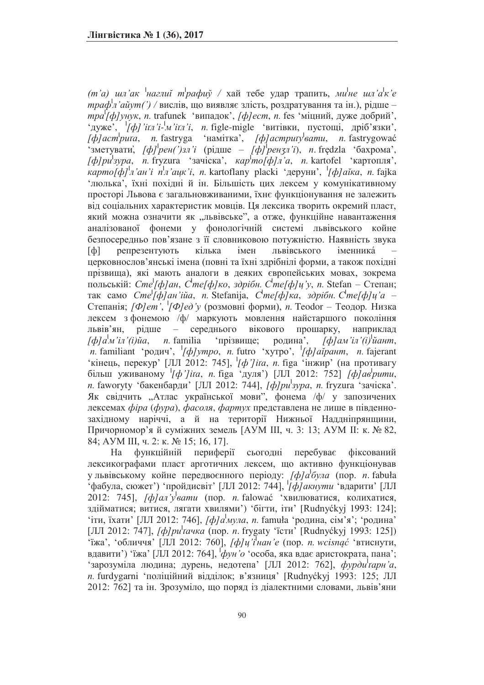$(m'a)$  *шл'ак* <sup>*†наглий трафиў* / хай тебе удар трапить, ми<sup>¦</sup>не шл'а<sup>¦</sup>к'е</sup> *мраф л'айут(') / вислів, що виявляє злість, роздратування та ін.), рідше –*  $mpa'[φ]yhyk, n$ *.* trafunek 'випадок', *[ф]ест*, *n.* fes 'міцний, дуже добрий', 'nyxe', '[do]'itn'i-'<sub>M</sub>'itn'i, n figle-migle 'витівки, пустощі, дріб'язки',  $\overline{f}$ φ] *acm*<sup>*buta*, *n.* fastryga 'намітка', [ф] acmputy <sup>l</sup>eamu, *n.* fastrygować</sup> {1}}<br>'зметувати, [ф]<sup>*рен(')зл'і* (рідше – [ф]<sup>*рензл'і*), *п*. fredzla 'бахрома',</sup></sup>  $[φ]pu^{|^3}$ ypa, *n.* fryzura '3aчicka', *κap<sup>i</sup>mo[φ]л'a*, *n.* kartofel 'картопля', *kapmo[ф]<sup>|</sup>л'ан'i n<sup>|</sup>л'ацк'i, n.* kartoflany placki 'деруни', '[*ф]а*йка, n. fajka 'люлька', їхні похідні й ін. Більшість цих лексем у комунікативному просторі Львова є загальновживаними, їхнє функціонування не залежить від соціальних характеристик мовців. Ця лексика творить окремий пласт, який можна означити як "львівське", а отже, функційне навантаження аналізованої фонеми у фонологічній системі львівського койне безпосередньо пов'язане з її словниковою потужністю. Наявність звука [ф] репрезентують кілька імен львівського іменника́  $\pm$ церковнослов'янські імена (повні та їхні здрібнілі форми, а також похідні прізвища), які мають аналоги в деяких європейських мовах, зокрема 1<br>польській: *Сте<sup>1</sup>[ф]ан*, *Сте[ф]ко*, здрібн. С<sup>і</sup>те[ф]џ'у, п. Stefan – Степан;  $\frac{1}{2}$ так само *Сте<sup>[</sup>ф]ан'ійа*, *n*. Stefanija, *Сте[ф]ка*, здрібн. Сте[ф]ц'а – Степанія; [Ф]ет', <sup>113</sup>/[Ф]ед'у (розмовні форми), п. Teodor – Теодор. Низка лексем з фонемою /ф/ маркують мовлення найстаршого покоління львів'ян, рідше – середнього вікового прошарку, наприклад  $\int \phi / a^{\prime} m' i \pi' (i) \tilde{u} a$ , *n*. familia 'прізвище; родина', *[ф]* ам' іл' (і) чант, *n*. familiant 'родич', '[ф]утро, n. futro 'хутро', '[ф]айрант, n. fajerant 'кінець, перекур' [ЛЛ 2012: 745], '[ф']ita, n. figa 'iнжир' (на противагу  $\sigma$ ы́льш уживаному [*ф*']ita, n. figa 'дуля') [ЛЛ 2012: 752] [ф]ав рити, *n*. faworyty 'бакенбарди' [ЛЛ 2012: 744], *[ф]pu<sup>l</sup>зура*, *n*. fryzura 'зачіска'. Як свідчить "Атлас української мови", фонема /ф/ у запозичених лексемах фіра (фура), фасоля, фартух представлена не лише в південнозахідному наріччі, а й на території Нижньої Наддніпрянщини, Причорномор'я й суміжних земель [AУM III, ч. 3: 13; AУM II: к. № 82, 84; АУМ III, ч. 2: к. № 15; 16, 17].

На функційній периферії сьогодні перебуває фіксований лексикографами пласт арготичних лексем, що активно функціонував у львівському койне передвоєнного періоду: [ф]а<sup>|</sup>була (пор. *n*. fabuła •<br>• фабула, сюжет') •пройдисвіт' [ЛЛ 2012: 744], <sup>1</sup>[ф] акнути •вдарити' [ЛЛ  $2012$ : 745],  $\int \phi \sin \theta \sin \theta$  (nop. *n*. falować xBHJHOBATHCA, KOJHXATHCA, здійматися; витися, лягати хвилями') 'бігти, іти' [Rudnyckyj 1993: 124]; 'іти, їхати' [ЛЛ 2012: 746], [ф]а<sup>1</sup>мула, п. famuła 'родина, сім'я'; 'родина' [ЛЛ 2012: 747], [*ф]pu<sup>l</sup>taчка* (пор. *n*. frygaty 'їсти<sup>,</sup> [Rudnyćkyj 1993: 125]) <sup>1</sup> чика, чебличчя, [ЛЛ 2012: 760], [ф]и'i'нан'е (пор. *n. wcisnąć* чвтиснути, вдавити') 'їжа' [ЛЛ 2012: 764],  $\phi$ ун'о 'особа, яка вдає аристократа, пана'; чарозуміла людина; дурень, недотепа<sup>,</sup> [ЛЛ 2012: 762], фурди<sup>1</sup>тарн'а, *n*. furdygarni 'поліційний відділок; в'язниця' [Rudnyckyj 1993: 125; ЛЛ 2012: 762] та ін. Зрозуміло, що поряд із діалектними словами, львів'яни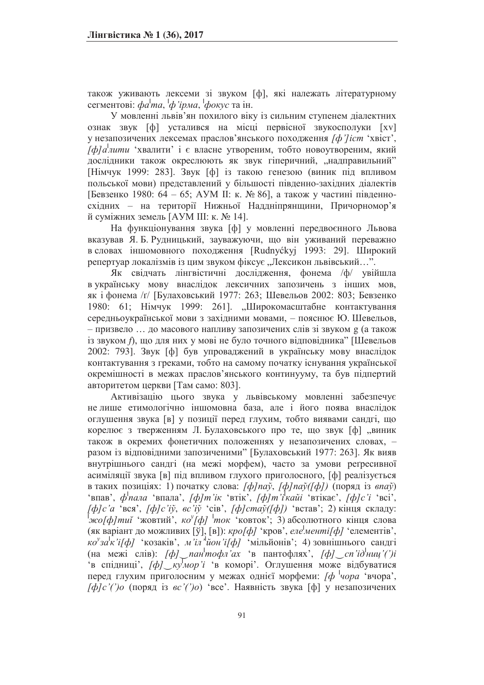також уживають лексеми зі звуком [ф], які належать літературному сегментові: *фа<sup>і</sup>та*, <sup>і</sup>ф'*ірма*, <sup>і</sup>фо*кус* та ін.

У мовленні львів'ян похилого віку із сильним ступенем діалектних ознак звук [ф] усталився на місці первісної звукосполуки [xv] у незапозичених лексемах праслов'янського походження [*ф*'/*icm* 'хвіст', ,<br>[ф]а<sup>|</sup>лити 'хвалити' і є власне утвореним, тобто новоутвореним, який дослідники також окреслюють як звук гіперичний, "надправильний" [Німчук 1999: 283]. Звук [ф] із такою генезою (виник під впливом польської мови) представлений у більшості південно-західних діалектів [Бевзенко 1980: 64 – 65; АУМ II: к. № 86], а також у частині південносхідних - на території Нижньої Наддніпрянщини, Причорномор'я й суміжних земель [АУМ III: к. № 14].

На функціонування звука [ф] у мовленні передвоєнного Львова вказував Я. Б. Рудницький, зауважуючи, що він уживаний переважно в словах іншомовного походження [Rudnyckyj 1993: 29]. Широкий репертуар локалізмів із цим звуком фіксує "Лексикон львівський...".

Як свідчать лінгвістичні дослідження, фонема /ф/ увійшла в українську мову внаслідок лексичних запозичень з інших мов, як і фонема /г/ [Булаховський 1977: 263; Шевельов 2002: 803; Бевзенко 1980: 61; Німчук 1999: 261]. "Широкомасштабне контактування середньоукраїнської мови з західними мовами, - пояснює Ю. Шевельов, - призвело ... до масового напливу запозичених слів зі звуком g (а також із звуком *f*), що для них у мові не було точного відповідника" [Шевельов 2002: 793]. Звук [ф] був упроваджений в українську мову внаслідок контактування з греками, тобто на самому початку існування української окремішності в межах праслов'янського континууму, та був підпертий авторитетом церкви [Там само: 803].

Активізацію цього звука у львівському мовленні забезпечує не лише етимологічно іншомовна база, але і його поява внаслідок оглушення звука [в] у позиції перед глухим, тобто виявами сандгі, що корелює з тверженням Л. Булаховського про те, що звук [ф] "виник також в окремих фонетичних положеннях у незапозичених словах, разом із відповідними запозиченими" [Булаховський 1977: 263]. Як вияв внутрішнього сандгі (на межі морфем), часто за умови реґресивної асиміляції звука [в] під впливом глухого приголосного, [ф] реалізується в таких позиціях: 1) початку слова: [ф]naў, [ф]naў([ф]) (поряд із впаў) 'впав', ф<sup>1</sup>пала 'впала', [ф]т'iк 'втік', [ф]т'iкайi 'втікає', [ф]c'i 'всі',  $\phi/c'$ а 'вся',  $\phi/c'$ йў, *вс'*йў 'сів',  $\phi/c$  *ma*ў( $\phi$ )) 'встав'; 2) кінця складу:  $\frac{f}{f}$  *ы са [ф]* ток 'ковток'; 3) абсолютного кінця слова (як варіант до можливих [ў], [в]): *кро[ф]* 'кров', *еле<sup>|</sup>менті[ф]* 'елементів',  $\chi \alpha^y$ за<sup>|</sup>х 'i[ф] 'козаків', *м'*іл'йон'i[ф] 'мільйонів'; 4) зовнішнього сандгі (на межі слів): [ф] *пан*<sup>1</sup>тофл'ах 'в пантофлях', [ф] cn'id<sup>1</sup>ниц'(')i ъ спідниці', *[ф]<sub>к</sub>умор*'ї 'в коморі'. Оглушення може відбуватися перед глухим приголосним у межах однієї морфеми: [ф <sup>1</sup>чора 'вчора',  $[\phi]c'$ (поряд iз  $\epsilon c'$ )<sup>o</sup> 'все'. Наявність звука  $[\phi]$  у незапозичених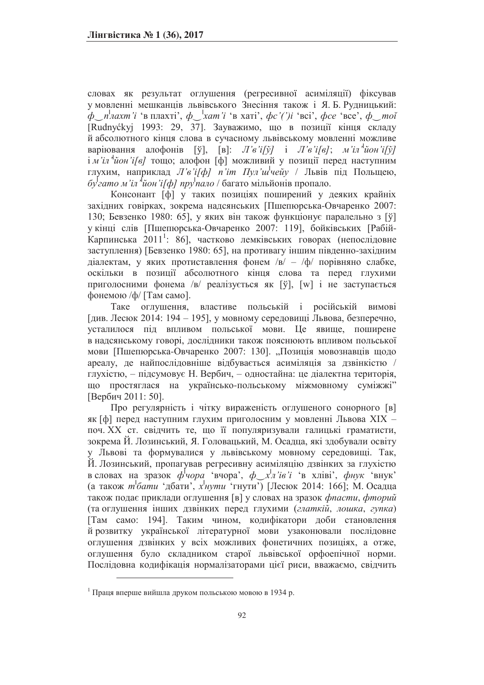словах як результат оглушення (регресивної асиміляції) фіксував у мовленні мешканців львівського Знесіння також і Я. Б. Рудницький: *у*<br>ф\_п<sup>|</sup>лахт *i* 'в плахті', ф\_<sup>1</sup>хат *i* 'в хаті', фс'(')i 'всі', фсе 'все', ф\_тої [Rudnyćkyj 1993: 29, 37]. Зауважимо, що в позиції кінця складу й абсолютного кінця слова в сучасному львівському мовленні можливе варіювання алофонів [ў], [в]: *Л'в'і[ў]* і *Л'в'і[в]*; *м'іл<sup>, і</sup>йон'і[ў]* <del>*i M*'i*n*'uoH'i[e] romo; алофон [ф] можливий у позиції перед наступним</del> глухим, наприклад *Л'в'i[ф] n'im Пул'ш<sup>1</sup>чейу* / Львів під Польщею,  $\tilde{\sigma}$ у $\tilde{\sigma}$ еато м $i$  *iл*  $\tilde{\tau}$ йон 'i[ф] пру $\tilde{\tau}$ пало / багато мільйонів пропало.

Консонант [ф] у таких позиціях поширений у деяких крайніх західних говірках, зокрема надсянських [Пшепюрська-Овчаренко 2007: 130; Бевзенко 1980: 65], у яких він також функціонує паралельно з [ў] у кінці слів [Пшепюрська-Овчаренко 2007: 119], бойківських [Рабій-Карпинська 2011<sup>1</sup>: 86], частково лемківських говорах (непослідовне заступлення) [Бевзенко 1980: 65], на противагу іншим південно-західним діалектам, у яких протиставлення фонем /в/ - /ф/ порівняно слабке, оскільки в позиції абсолютного кінця слова та перед глухими приголосними фонема /в/ реалізується як [ў], [w] і не заступається фонемою /ф/ [Там само].

Таке оглушення, властиве польській і російській вимові [див. Лесюк 2014: 194 – 195], у мовному середовищі Львова, безперечно, усталилося під впливом польської мови. Це явище, поширене в надсянському говорі, дослідники також пояснюють впливом польської мови [Пшепюрська-Овчаренко 2007: 130]. "Позиція мовознавців щодо ареалу, де найпослідовніше відбувається асиміляція за дзвінкістю / глухістю, - підсумовує Н. Вербич, - одностайна: це діалектна територія, що простяглася на українсько-польському міжмовному суміжжі" [Вербич 2011: 50].

Про регулярність і чітку вираженість оглушеного сонорного [в] як [ф] перед наступним глухим приголосним у мовленні Львова XIX поч. XX ст. свідчить те, що її популяризували галицькі граматисти, зокрема Й. Лозинський, Я. Головацький, М. Осадца, які здобували освіту у Львові та формувалися у львівському мовному середовищі. Так, Й. Лозинський, пропагував регресивну асиміляцію дзвінких за глухістю в словах на зразок  $\phi^{\dagger}$ чора 'вчора',  $\phi \rightarrow x^{\dagger}$ л'*iв*'*i* 'в хліві',  $\phi$ нук 'внук' (а також *m*<sup>1</sup> бати 'дбати', х<sup>1</sup>нути 'гнути') [Лесюк 2014: 166]; М. Осадца також подає приклади оглушення [в] у словах на зразок фпасти, фторий (та оглушення інших дзвінких перед глухими (глаткій, лошка, гупка) [Там само: 194]. Таким чином, кодифікатори доби становлення й розвитку української літературної мови узаконювали послідовне оглушення дзвінких у всіх можливих фонетичних позиціях, а отже, оглушення було складником старої львівської орфоепічної норми. Послідовна кодифікація нормалізаторами цієї риси, вважаємо, свідчить

 $1$  Праця вперше вийшла друком польською мовою в 1934 р.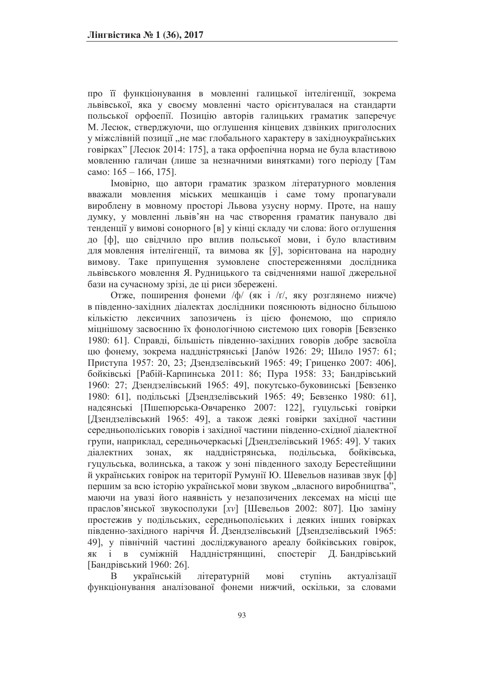про її функціонування в мовленні галицької інтелігенції, зокрема львівської, яка у своєму мовленні часто орієнтувалася на стандарти польської орфоепії. Позицію авторів галицьких граматик заперечує М. Лесюк, стверджуючи, що оглушення кінцевих дзвінких приголосних у міжслівній позиції "не має глобального характеру в західноукраїнських говірках" [Лесюк 2014: 175], а така орфоепічна норма не була властивою мовленню галичан (лише за незначними винятками) того періоду [Там camo:  $165 - 166$ , 175].

Імовірно, що автори граматик зразком літературного мовлення вважали мовлення міських мешканців і саме тому пропагували вироблену в мовному просторі Львова узусну норму. Проте, на нашу думку, у мовленні львів'ян на час створення граматик панувало дві тенденції у вимові сонорного [в] у кінці складу чи слова: його оглушення до [ф], що свідчило про вплив польської мови, і було властивим для мовлення інтелігенції, та вимова як [ў], зорієнтована на народну вимову. Таке припущення зумовлене спостереженнями дослідника львівського мовлення Я. Рудницького та свідченнями нашої джерельної бази на сучасному зрізі, де ці риси збережені.

Отже, поширення фонеми /ф/ (як і /г/, яку розглянемо нижче) в південно-західних діалектах дослідники пояснюють відносно більшою кількістю лексичних запозичень із цією фонемою, що сприяло міцнішому засвоєнню їх фонологічною системою цих говорів [Бевзенко 1980: 61]. Справді, більшість південно-західних говорів добре засвоїла цю фонему, зокрема наддністрянські [Janów 1926: 29; Шило 1957: 61; Приступа 1957: 20, 23; Дзендзелівський 1965: 49; Гриценко 2007: 406], бойківські [Рабій-Карпинська 2011: 86; Пура 1958: 33; Бандрівський 1960: 27; Дзендзелівський 1965: 49], покутсько-буковинські [Бевзенко 1980: 61], подільські [Дзендзелівський 1965: 49; Бевзенко 1980: 61], надсянські [Пшепюрська-Овчаренко 2007: 122], гуцульські говірки [Дзендзелівський 1965: 49], а також деякі говірки західної частини середньополіських говорів і західної частини південно-східної діалектної групи, наприклад, середньочеркаські [Дзендзелівський 1965: 49]. У таких діалектних зонах, як наддністрянська, подільська, бойківська, гуцульська, волинська, а також у зоні південного заходу Берестейщини й українських говірок на території Румунії Ю. Шевельов називав звук [ф] першим за всю історію української мови звуком "власного виробництва", маючи на увазі його наявність у незапозичених лексемах на місці ще праслов'янської звукосполуки [xv] [Шевельов 2002: 807]. Цю заміну простежив у подільських, середньополіських і деяких інших говірках південно-західного наріччя Й. Дзендзелівський [Дзендзелівський 1965: 49], у північній частині досліджуваного ареалу бойківських говірок, як і в суміжній Наддністрянщині, спостеріг Д.Бандрівський [Бандрівський 1960: 26].

В українській літературній мові ступінь актуалізації функціонування аналізованої фонеми нижчий, оскільки, за словами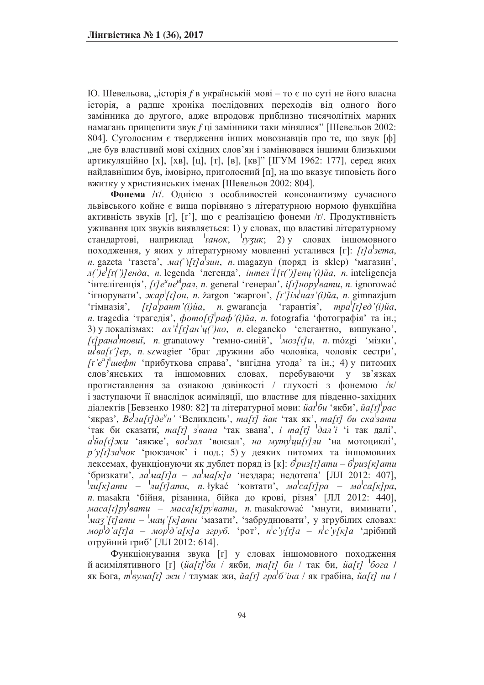Ю. Шевельова, "історія *f* в українській мові – то є по суті не його власна історія, а радше хроніка послідовних переходів від одного його замінника до другого, адже впродовж приблизно тисячолітніх марних намагань прищепити звук f ці замінники таки мінялися" [Шевельов 2002:  $804$ ]. Суголосним є твердження інших мовознавців про те, що звук [ф] "не був властивий мові східних слов'ян і замінювався іншими близькими артикуляційно [х], [хв], [ц], [т], [в], [кв]" [IГУМ 1962: 177], серед яких найдавнішим був, імовірно, приголосний [п], на що вказує типовість його вжитку у християнських іменах [Шевельов 2002: 804].

Фонема /r/. Однією з особливостей консонантизму сучасного львівського койне є вища порівняно з літературною нормою функційна активність звуків [r], [r'], що є реалізацією фонеми /r/. Продуктивність уживання цих звуків виявляється: 1) у словах, що властиві літературному ,<br>стандартові, наприклад <sup>і</sup>*танок*,  $\frac{1}{l} \frac{1}{2} \frac{1}{2} \frac{1}{y^2}$   $\frac{1}{l} \frac{1}{2l} \frac{1}{l} \frac{1}{l} \frac{1}{l} \frac{1}{l} \frac{1}{l} \frac{1}{l} \frac{1}{l} \frac{1}{l} \frac{1}{l} \frac{1}{l} \frac{1}{l} \frac{1}{l} \frac{1}{l} \frac{1}{l} \frac{1}{l} \frac{1}{l} \frac{1}{l} \frac{1}{l} \frac{1}{l} \frac{1}{l} \frac{1}{l} \frac{1}{l} \frac{1}{l} \frac{1}{l} \frac{1$ походження, у яких у літературному мовленні усталився [г]: [t]a<sup>l</sup>зета, *n*. gazeta 'газета', *ма*(')[t]a<sup>]</sup>зин, *n*. magazyn (поряд is sklep) 'магазин',  $\pi$ (')e<sup>l</sup>[t(')]енда, *n.* legenda 'легенда', *інтел'i*<sup>[</sup>[t(')]енц'(i)йа, *n.* inteligencja  $\cdot$  interitentia, [t] e<sup>u</sup> μe<sup>ul</sup>pan, n. general 'renepan', i[t] *hopy samu*, n. ignorować 'iгнорувати', xcap<sup>|</sup>[t]oн, n. zargon 'жаргон', [t']iм наз'(i)йа, n. gimnazjum 'гімназія', [t]a<sup>[</sup>рант'(i)йа, n. gwarancja 'тарантія', mpa<sup>l</sup>[t]ed'(i)йа, *n*. tragedia 'трагедія',  $\phi$ *omo[t]*<sup>1</sup>pa $\phi$ '(i)ua, n. fotografia 'фотографія' та ін.; 3) у локалізмах: *ал'i*<sup>|</sup>[*r*]*aн'y*(')ко, *n*. elegancko 'елегантно, вишукано', [t] pана<sup>l</sup> товиї, п. granatowy 'темно-синій', <sup>1</sup>моз[t] и, п. mózgi 'мізки', *u* ва[t']ер, *n*. szwagier 'брат дружини або чоловіка, чоловік сестри', *[t'e"]* и *dim* чтрибуткова справа', 'вигідна угода' та ін.; 4) у питомих слов'янських та іншомовних словах, перебуваючи у зв'язках протиставлення за ознакою дзвінкості / глухості з фонемою /к/ і заступаючи її внаслідок асиміляції, що властиве для південно-західних діалектів [Бевзенко 1980: 82] та літературної мови: *йаґби 'я*кби', *йа[т] рас* <sup>1</sup> икраз', *Be*<sup>*hu[t] де<sup>и</sup>н'* 'Великдень', *ma[t]* йак 'так як', *ma[t]* би ска зати</sup> <sup>4</sup>Tak би сказати, ma[t] звана 'так звана', *i ma[t]* <sup>1</sup>дал'i 'i так далі',  $a^{\dagger}$ йа[t] жи 'аякже', вот<sup>1</sup>зал 'вокзал', на муту<sup>1</sup>ци[t] ли 'на мотоциклі',  $p'y[r]$ за<sup>l</sup>чок 'рюкзачок' і под.; 5) у деяких питомих та іншомовних  $\sigma^2$ ичак, функціонуючи як дублет поряд із [к]:  $\sigma^2$ *puз[t] amu –*  $\sigma^2$ *puз[к] amu* \*бризкати', *ла*<sup>*|</sup>ма[t]а* – *ла<sup><i>|ма[к]а* 'нездара; недотепа' [ЛЛ 2012: 407],</sup></sup> *|nu[ĸ]amu – <sup>|</sup>nu[τ]amu, n. łykać 'κοвтати', <i>Ma<sup>l</sup>ca[τ]pa – Ma<sup>l</sup>ca[κ]pa*, *n*. masakra 'бійня, різанина, бійка до крові, різня' [ЛЛ 2012: 440], *маса[t]py вати – маса[к]py вати, п.* masakrować 'мнути, виминати', |<br>|*маз'[t]аmu – <sup>|</sup>мац'[к]аmu '*мазати', 'забруднювати', у згрубілих словах: *мор*<sup>†</sup>∂<sup>*'a[к]а* згруб. 'poт', *n*<sup>c</sup>'y[t]a – n<sup>l</sup>c'y[к]a 'дрібний</sup> отруйний гриб' [ЛЛ 2012: 614].

Функціонування звука [r] у словах іншомовного походження й асимілятивного [r] (*ŭa[t]*<sup>1</sup>би / якби, *ma[t] би /* так би, *ŭa[t]* <sup>1</sup>бога / як Бога, *m*<sup>*l*</sup>вума[t] жи / тлумак жи, йа[t] гра<sup>1</sup>б'іна / як грабіна, йа[t] ни /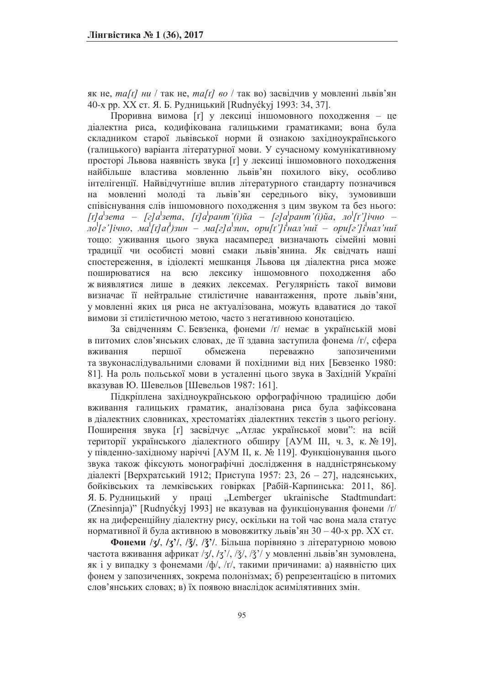як не, ma[t]  $\mu u / \text{так не}, \text{mal}(t) = \text{ao} / \text{так во}$ ) засвідчив у мовленні львів'ян 40-х рр. XX ст. Я. Б. Рудницький [Rudnyćkyj 1993: 34, 37].

Проривна вимова [r] у лексиці іншомовного походження - це діалектна риса, кодифікована галицькими граматиками; вона була складником старої львівської норми й ознакою західноукраїнського (галицького) варіанта літературної мови. У сучасному комунікативному просторі Львова наявність звука [r] у лексиці іншомовного походження найбільше властива мовленню львів'ян похилого віку, особливо інтелігенції. Найвідчутніше вплив літературного стандарту позначився на мовленні молоді та львів'ян середнього віку, зумовивши співіснування слів іншомовного походження з цим звуком та без нього: *[τ]а*<sup> $\vert$ </sup>зета – [г]а $\vert$ зета, [т]а $\vert$ рант'(і)йа – [г]а $\vert$ рант'(і)йа, ло $\vert$ [ґ']ічно –  $\frac{1}{2}$   $\frac{1}{2}$   $\frac{1}{2}$   $\frac{1}{4}$   $\frac{1}{2}$   $\frac{1}{4}$   $\frac{1}{2}$   $\frac{1}{4}$   $\frac{1}{2}$   $\frac{1}{4}$   $\frac{1}{4}$   $\frac{1}{4}$   $\frac{1}{4}$   $\frac{1}{4}$   $\frac{1}{4}$   $\frac{1}{4}$   $\frac{1}{4}$   $\frac{1}{4}$   $\frac{1}{4}$   $\frac{1}{4}$   $\frac{1}{4}$   $\frac{1}{4}$  тощо: уживання цього звука насамперед визначають сімейні мовні традиції чи особисті мовні смаки львів'янина. Як свідчать наші спостереження, в ідіолекті мешканця Львова ця діалектна риса може поширюватися на всю лексику іншомовного походження або ж виявлятися лише в деяких лексемах. Регулярність такої вимови визначає її нейтральне стилістичне навантаження, проте львів'яни, у мовленні яких ця риса не актуалізована, можуть вдаватися до такої вимови зі стилістичною метою, часто з негативною конотацією.

За свідченням С. Бевзенка, фонеми /r/ немає в українській мові в питомих слов'янських словах, де її здавна заступила фонема /г/, сфера вживання першої обмежена переважно запозиченими та звуконаслідувальними словами й похідними від них [Бевзенко 1980: 81]. На роль польської мови в усталенні цього звука в Західній Україні вказував Ю. Шевельов [Шевельов 1987: 161].

Підкріплена західноукраїнською орфографічною традицією доби вживання галицьких граматик, аналізована риса була зафіксована в діалектних словниках, хрестоматіях діалектних текстів з цього регіону. Поширення звука [r] засвідчує "Атлас української мови": на всій території українського діалектного обширу [АУМ III, ч. 3, к. № 19], у південно-західному наріччі [АУМ ІІ, к. № 119]. Функціонування цього звука також фіксують монографічні дослідження в наддністрянському діалекті [Верхратський 1912; Приступа 1957: 23, 26 – 27], надсянських, бойківських та лемківських говірках [Рабій-Карпинська: 2011, 86]. Я. Б. Рудницький у праці "Lemberger ukrainische Stadtmundart: (Znesinnja)" [Rudnyckyj 1993] не вказував на функціонування фонеми  $\pi/$ як на диференційну діалектну рису, оскільки на той час вона мала статус нормативної й була активною в мововжитку львів'ян  $30 - 40$ -х рр. XX ст.

**Фонеми** / $\chi$ , / $\chi$ <sup>2</sup>, / $\chi$ <sup>2</sup>, / $\chi$ <sup>2</sup>, / $\chi$ <sup>2</sup>, Більша порівняно з літературною мовою частота вживання африкат /3/, /3'/, / $\frac{3}{2}$ , / $\frac{3}{2}$  у мовленні львів'ян зумовлена, як і у випадку з фонемами /ф/, /г/, такими причинами: а) наявністю цих фонем у запозиченнях, зокрема полонізмах; б) репрезентацією в питомих слов'янських словах; в) їх появою внаслідок асимілятивних змін.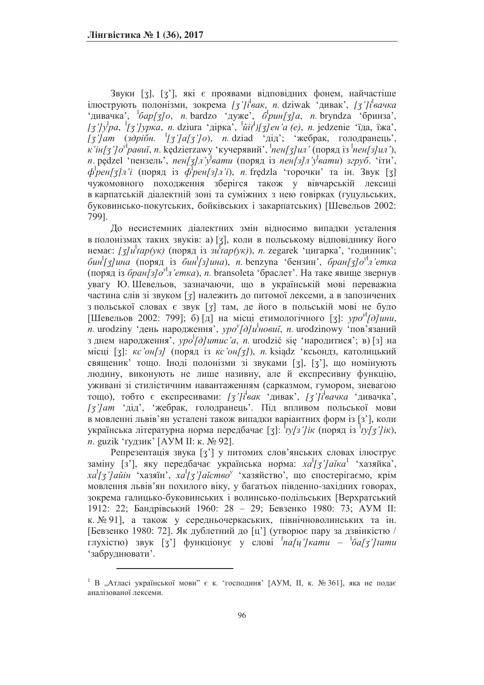Звуки [3], [3'], які є проявами відповідних фонем, найчастіше iлюструють полонiзми, зокрема [*ʒ']i<sup>l</sup>вак*, *n*. dziwak 'дивак', [*ʒ']i<sup>l</sup>вачка* 'дивачка', <sup>1</sup>бар[3]0, *n.* bardzo 'дуже', б<sup>1</sup>рин[3]а, n. bryndza 'бринза', *[*3]/ра, <sup>1</sup>[3]/рука, *n*. dziura 'дірка', <sup>1</sup>й(1)[3]ен'а (е), n. jedzenie 'їда, їжа', *[3]* / 13 југ / 13 југ / 13 југ / 13 југ / 13 југ / 13 југ / 13 југ / 13 југ / 14 југ / 14 југ / 14 југ / 15 југ / 14 југ / 15 југ / 15 југ / 15 југ / 15 југ / 15 југ / 15 југ / 15 југ / 15 југ / 15 југ / 15 југ / 15 југ *x'iн[3']o<sup>y</sup>paeuĭ, n. kedzierzawy 'кучерявий', 'neн[3]uл' (поряд iз <sup>1</sup>neн[3]uл'),*  $n.$  pędzel 'пензель',  $nen[\overline{3}] \rightarrow y$ <sup>1</sup>вати (поряд is  $nen[\overline{3}] \rightarrow y$ вати) згруб. 'iru',  $\phi$ <sup>*p*</sup> $\phi$ *eH*[3]*n'i* (поряд is  $\phi$ *peH*[3]*n'i*), *n*. fredzla 'торочки' та iн. Звук [3] чужомовного походження зберігся також у вівчарській лексиці в карпатській діалектній зоні та суміжних з нею говірках (гуцульських, буковинсько-покутських, бойківських і закарпатських) [Шевельов 2002: 799].

До несистемних діалектних змін відносимо випадки усталення в полонізмах таких звуків: а) [3], коли в польському відповіднику його немає: [3]u<sup>l</sup>tap(ук) (поряд із зи<sup>1</sup>тар(ук)), *п.* zegarek 'цигарка', 'годинник';  $\delta$ ин<sup>1</sup>[3] ина (поряд is бин<sup>1</sup>[3] ина), *n*. benzyna 'бензин', бран[3] о<sup>у</sup>л'етка (поряд is бран[з]о<sup>у</sup>л'етка), *n*. bransoleta 'браслет'. На таке явище звернув увагу Ю. Шевельов, зазначаючи, що в українській мові переважна частина слів зі звуком [3] належить до питомої лексеми, а в запозичених з польської словах є звук [3] там, де його в польській мові не було [Шевельов 2002: 799]; б) [д] на місці етимологічного [3]:  $\text{ypo}^{\text{y}}$ [д]ини, *n*. urodziny 'день народження',  $\gamma p \partial^2 f/d \vec{a}$  и игоdzinowy 'пов'язаний з днем народження<sup>7</sup>, *ypo<sup>l</sup>[d]umuc'a*, *n*. urodzić się 'народитися'; в) [з] на місці [3]: *кс'он*[3] (поряд із *кс'он*[3]), *п*. ksiądz 'ксьондз, католицький священик' тощо. Іноді полонізми зі звуками [3], [3'], що номінують людину, виконують не лише називну, але й експресивну функцію, уживані зі стилістичним навантаженням (сарказмом, гумором, зневагою  $\frac{1}{\sqrt{2}}$ тощо), тобто є експресивами: [*ʒ']i<sup>l</sup>вак* 'дивач 'дивачка', [*ʒ']i<sup>l</sup>вачка* 'дивачка', [<sup>7</sup>]ат 'дід', 'жебрак, голодранець'. Під впливом польської мови в мовленні львів'ян усталені також випадки варіантних форм із [з'], коли українська літературна норма передбачає [3]: <sup>†</sup>*гу[з'] ік* (поряд із <sup>1</sup>*гу[з'] ік*), *n*. guzik 'тудзик' [АУМ II: к. № 92].

Репрезентація звука [3'] у питомих слов'янських словах ілюструє заміну [3'], яку передбачає українська норма: *ха*<sup>1</sup>[3']аїка<sup>1</sup> 'хазяйка',  $x a<sup>1</sup> [g'] aŭ in' xa suŭ in', x a<sup>1</sup> [g'] aŭ cm e<sup>y</sup> xa saiŭ from' a$ мовлення львів'ян похилого віку, у багатьох південно-західних говорах, зокрема галицько-буковинських і волинсько-подільських [Верхратський 1912: 22; Бандрівський 1960: 28 - 29; Бевзенко 1980: 73; АУМ II: к. № 91], а також у середньочеркаських, північноволинських та ін. [Бевзенко 1980: 72]. Як дублетний до [ц'] (утворює пару за дзвінкістю / ι<br>Γлухістю) звук [3<sup>2</sup>] функціонує у слові <sup>*|</sup>na[ų'] кати* – *<sup>|</sup>ба[3'] тати*</sup> 'забруднювати'.

 $1$  В "Атласі української мови" є к. 'господиня' [АУМ, II, к. № 361], яка не подає аналізованої лексеми.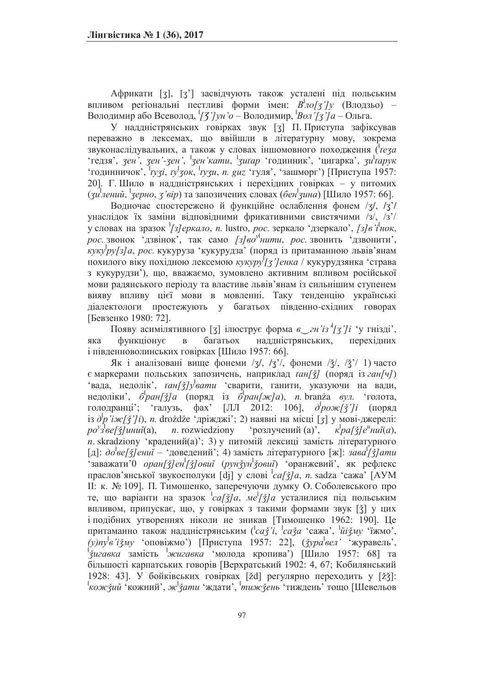Африкати [3], [3'] засвідчують також усталені під польським впливом регіональні пестливі форми імен:  $B^{\dagger}$ ло[3']у (Влодзьо) – Володимир або Всеволод, <sup>1</sup>/3'/ун'о – Володимир, <sup>1</sup>Вол'/3'/а – Ольга.

У наддністрянських говірках звук [3] П. Приступа зафіксував переважно в лексемах, що ввійшли в літературну мову, зокрема ъ и последия и також у словах іншомовного походження (<sup>1</sup> <sup>6</sup> (редзя', *зен'-зен'*, <sup>1</sup> зен'кати, <sup>1</sup> зигар 'годинник', 'цигарка', зи<sup>1</sup>гарук <sup>4</sup> (рациничок', <sup>1</sup>рузі, рузок, <sup>1</sup>рузи, п. guz 'гуля', 'зашморг') [Приступа 1957: 20]. Г. Шило в наддністрянських і перехідних говірках - у питомих (*3u*<sup>1</sup>лений, <sup>1</sup>зерно, *3*'вір) та запозичених словах (бен<sup>і</sup>зина) [Шило 1957: 66].

Водночас спостережено й функційне ослаблення фонем /ʒ/, /ʒ'/ унаслідок їх заміни відповідними фрикативними свистячими /з/, /з'/ у словах на зразок <sup>1</sup>[3] еркало, n. lustro, рос. зеркало 'дзеркало', [3] в'i<sup>1</sup>нок, *у*<br>рос. звонок 'дзвінок', так само [3] во<sup>уі</sup>нити, рос. звонить 'дзвонити', ,<br>*куку ру[з]а, рос.* кукуруза 'кукурудза' (поряд із притаманною львів'янам <del>изина и известно и известно и известной известной известности. Таки и страва</del> з кукурудзи'), що, вважаємо, зумовлено активним впливом російської мови радянського періоду та властиве львів'янам із сильнішим ступенем вияву впливу цієї мови в мовленні. Таку тенденцію українські діалектологи простежують у багатьох південно-східних говорах [Бевзенко 1980: 72].

Появу асимілятивного [3] ілюструє форма *в\_гн'із*<sup>'</sup>/[*3']i* 'у гнізді', яка функціонує в багатьох наддністрянських, перехідних і південноволинських говірках [Шило 1957: 66].

Як і аналізовані вище фонеми /ʒ/, /ʒ'/, фонеми / $\xi$ /, / $\xi$ '/ 1) часто є маркерами польських запозичень, наприклад *тан[ў]* (поряд із ган[ч]) ь и при тедолік', *taн[ǯ]у вати* сварити, ганити, указуючи на вади, недоліки', б<sup>1</sup>ран[3] (поряд із б<sup>1</sup>ран[ж]а), *п*. branža *вул.* 'голота, голодранці'; 'галузь, фах' [ЛЛ 2012: 106], *д<sup>1</sup>рож[ǯ']і* (поряд iз  $\partial^{\prime} p$ '*iж[ǯ']i*), *n*. drożdże 'дрiжджi'; 2) наявнi на мiсцi [*ʒ*] у мовi-джерелi:  $p\sigma^{\nu}$ з<sup>[</sup>ве[ǯ]иниĭ(a), n. rozwiedziony *́poзлучений (a)*, *к*<sup>*pa[ǯ]е<sup>и</sup>ниĭ(a)*,</sup> *n*. skradziony 'крадений(а)'; 3) у питомій лексиці замість літературного [д]: до<sup>*|</sup>ве[ǯ]ениї – '*доведений'; 4) замість літературного [ж]: зава<sup>/</sup>[ǯ]ати</sup> <sup>1</sup>•заважати'0 *оран[ǯ] ен<sup>|</sup>[ǯ] овий (рунǯун<sup>|</sup>ǯовий)* 'оранжевий', як рефлекс праслов'янської звукосполуки [dj] у слові <sup>*i ca[ǯ]a*, *n*. sadza 'сажа' [АУМ</sup> II: к. № 109]. П. Тимошенко, заперечуючи думку О. Соболевського про те, що варіанти на зразок <sup>1</sup> са[3] а, ме<sup>[</sup>[3] а усталилися під польським впливом, припускає, що, у говірках з такими формами звук [3] у цих і подібних утвореннях ніколи не зникав [Тимошенко 1962: 190]. Це притаманно також наддністрянським (<sup>l</sup>caž<sup>i, l</sup>caža 'сажа', <sup>l</sup>йіžму 'їжмо',  $(y)ny^{\prime}e'i\zeta xy$  'оповіжмо') [Приступа 1957: 22], (*ӡура<sup>і</sup>вел* 'журавель', <sup>1</sup> <del>јавна година и претстани година и претстани и претстани да на владите претстани за претстаните и 1957: 68] та</del> більшості карпатських говорів [Верхратський 1902: 4, 67; Кобилянський 1928: 43]. У бойківських говірках [žd] регулярно переходить у [žǯ]: <sup>|</sup> кожний', ж<sup>1</sup>Ѯати 'ждати', <sup>|</sup> тиждень ' тиждень' тощо [Шевельов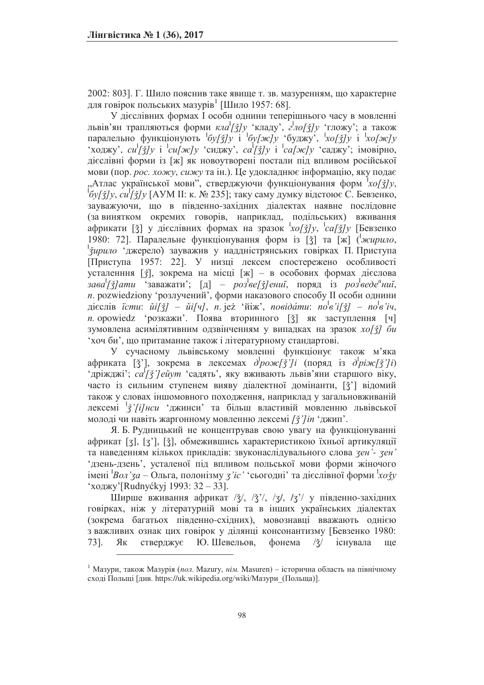2002: 803]. Г. Шило пояснив таке явище т. зв. мазуренням, що характерне для говірок польських мазурів<sup>1</sup> [Шило 1957: 68].

У дієслівних формах I особи однини теперішнього часу в мовленні львів'ян трапляються форми кла<sup>1</sup>[3]у 'кладу', 2<sup>1</sup>ло[3]у 'гложу'; а також паралельно функціонують  $\frac{1}{2}$  *i*  $\frac{1}{2}$  *i*  $\frac{1}{2}$  *i*  $\frac{1}{2}$  *i*  $\frac{1}{2}$  *i xo[xc]y* 'ходжу', *cu*<sup>[</sup> $\bar{z}$ ] *y* i <sup>1</sup> *cu*[ $\bar{z}$ *ed*  $\bar{z}$  /  $\bar{z}$  /  $\bar{z}$  /  $\bar{z}$  /  $\bar{z}$  /  $\bar{z}$  /  $\bar{z}$  /  $\bar{z}$  /  $\bar{z}$  /  $\bar{z}$  /  $\bar{z}$  /  $\bar{z}$  /  $\bar{z}$  /  $\bar{z}$  /  $\bar{z}$  /  $\bar{z}$  /  $\bar{z}$  / дієслівні форми із [ж] як новоутворені постали під впливом російської мови (пор. рос. хожу, сижу та ін.). Це удокладнює інформацію, яку подає "Атлас української мови", стверджуючи функціонування форм <sup>1</sup>хо[3]у, <sup>|</sup>  $\sigma$ <sup>|</sup>/ *ξζ]y*, *cu*<sup>|</sup>[*ξ̃]y* [AУМ II: к. № 235]; таку саму думку відстоює С. Бевзенко, зауважуючи, що в південно-західних діалектах наявне послідовне (за винятком окремих говорів, наприклад, подільських) вживання африкати [ǯ] у дієслівних формах на зразок <sup>1</sup>хо[ӡ̃]у, <sup>1</sup>са[ӡ̄]у [Бевзенко 1980: 72]. Паралельне функціонування форм із [3] та [ж] (<sup>1</sup>жирило, |<br>| Учрило 'джерело) зауважив у наддністрянських говірках П. Приступа [Приступа 1957: 22]. У низці лексем спостережено особливості усталенння [ $\xi$ ], зокрема на місці [ж] - в особових формах дієслова *зава<sup>|</sup>[ǯ]ати* чаважати, [д] – розвее[ǯ]ениї, поряд із розведе<sup>и</sup>ниї, *n*. pozwiedziony 'розлучений', форми наказового способу II особи однини  $\bar{x}$ дієслів *істи:*  $\tilde{u}[\tilde{z}]-\tilde{u}i[u],$  *n.* jeż 'йіж', *noвідати: no<sup>l</sup>e'i[ǯ] – no<sup>l</sup>e'ių*, *n*. opowiedz 'розкажи'. Поява вторинного [ǯ] як заступлення [ч] зумовлена асимілятивним одзвінченням у випадках на зразок *хо*[3] би чан би', що притаманне також і літературному стандартові.

У сучасному львівському мовленні функціонує також м'яка  $a\phi$ риката [ž'], зокрема в лексемах  $\partial^{\phi}p\circ\pi$ *[ž']i* (поряд iз  $\partial^{\phi}p\circ\pi$ *[ž']i*) <sup>1</sup> *1 H*<sub>2</sub>, <sup>1</sup> *H*<sub>2</sub>, <sup>1</sup> *H*<sub>2</sub>, <sup>1</sup> *H*<sub>2</sub>, <sup>1</sup> *H*<sub>2</sub>, <sup>1</sup> *H*<sub>2</sub>, <sup>1</sup> *H*<sub>2</sub>, <sup>1</sup> *H*<sub>2</sub>, <sup>1</sup> *H*<sub>2</sub>, <sup>1</sup> *H*<sub>2</sub>, <sup>1</sup> *H*<sub>2</sub>, <sup>1</sup> *H*<sub>2</sub>, <sup>1</sup> *H*<sub>2</sub>, <sup>1</sup> *H*<sub>2</sub>, <sup>1</sup> *H*<sub>2</sub>, <sup>1</sup> *H*<sub>2</sub>, <sup>1</sup> *H*<sub>2</sub>, <sup>1</sup> *H*<sub>2</sub>, <sup></sup> часто із сильним ступенем вияву діалектної домінанти, [ž'] відомий також у словах іншомовного походження, наприклад у загальновживаній лексемі <sup>1</sup>*ў'[і]нси* 'джинси' та більш властивій мовленню львівської молоді чи навіть жаргонному мовленню лексемі [ $\zeta$ ']in 'джип'.

Я. Б. Рудницький не концентрував свою увагу на функціонуванні африкат [3], [3'], [3], обмежившись характеристикою їхньої артикуляції та наведенням кількох прикладів: звуконаслідувального слова *зен*'- зен' 'дзень-дзень', усталеної під впливом польської мови форми жіночого імені <sup>*Bon'3a* – Ольга, полонізму *3'іс'* 'сьогодні' та дієслівної форми <sup>1</sup>хозу</sup> 'ходжу' $\lceil \text{Rudnyćkyi} \rceil$  1993: 32  $-$  33].

Ширше вживання африкат / $\check{z}$ /, / $\check{z}$ /, / $\check{z}$ /, / $\check{z}$ / у південно-західних говірках, ніж у літературній мові та в інших українських діалектах (зокрема багатьох південно-східних), мовознавці вважають однією з важливих ознак цих говірок у ділянці консонантизму [Бевзенко 1980: 73]. Як стверджує Ю.Шевельов, фонема  $\frac{3}{3}$  існувала ще

<sup>&</sup>lt;sup>1</sup> Мазури, також Мазурія (пол. Mazury, нім. Masuren) – історична область на північному сході Польщі [див. https://uk.wikipedia.org/wiki/Мазури (Польща)].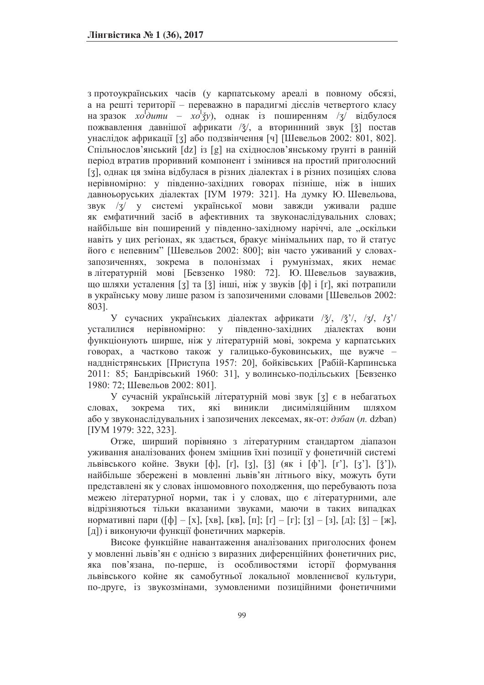з протоукраїнських часів (у карпатському ареалі в повному обсязі, а на решті території – переважно в парадигмі дієслів четвертого класу на зразок  $xo^1$ *i*  $\frac{1}{2}$  *xo*<sup>1</sup>/<sub>3</sub>*i x*<sup>1</sup>/<sub>3</sub><sup>*j*</sup> *x*<sup>1</sup>/<sub>3</sub><sup>*j*</sup> відбулося пожвавлення давнішої африкати / $\frac{x}{4}$ , а вториннний звук [ $\frac{x}{4}$ ] постав унаслідок африкації [3] або подзвінчення [ч] [Шевельов 2002: 801, 802]. Спільнослов'янський [dz] із [g] на східнослов'янському ґрунті в ранній період втратив проривний компонент і змінився на простий приголосний [3], однак ця зміна відбулася в різних діалектах і в різних позиціях слова нерівномірно: у південно-західних говорах пізніше, ніж в інших давноьоруських діалектах [IVM 1979: 321]. На думку Ю. Шевельова, звук /3/ у системі української мови завжди уживали радше як емфатичний засіб в афективних та звуконаслідувальних словах; найбільше він поширений у південно-західному наріччі, але "оскільки навіть у цих регіонах, як здається, бракує мінімальних пар, то й статус його є непевним" [Шевельов 2002: 800]; він часто уживаний у словахзапозиченнях, зокрема в полонізмах і румунізмах, яких немає в літературній мові [Бевзенко 1980: 72]. Ю. Шевельов зауважив, що шляхи усталення [3] та [3] інші, ніж у звуків [ф] і [г], які потрапили в українську мову лише разом із запозиченими словами [Шевельов 2002: 803].

У сучасних українських діалектах африкати  $\frac{3}{2}$ ,  $\frac{3}{2}$ ,  $\frac{7}{3}$ ,  $\frac{7}{3}$ усталилися нерівномірно: у південно-західних діалектах вони функціонують ширше, ніж у літературній мові, зокрема у карпатських говорах, а частково також у галицько-буковинських, ще вужче наддністрянських [Приступа 1957: 20], бойківських [Рабій-Карпинська 2011: 85; Бандрівський 1960: 31], у волинсько-подільських [Бевзенко 1980: 72; Шевельов 2002: 801].

У сучасній українській літературній мові звук [3] є в небагатьох словах, зокрема тих, які виникли дисиміляційним шляхом або у звуконаслідувальних і запозичених лексемах, як-от: дзбан (n. dzban) [IVM 1979: 322, 323].

Отже, ширший порівняно з літературним стандартом діапазон уживання аналізованих фонем зміцнив їхні позиції у фонетичній системі львівського койне. Звуки [ф], [т], [3], [ž] (як і [ф'], [т'], [3'], [ž']), найбільше збережені в мовленні львів'ян літнього віку, можуть бути представлені як у словах іншомовного походження, що перебувають поза межею літературної норми, так і у словах, що є літературними, але відрізняються тільки вказаними звуками, маючи в таких випадках нормативні пари ([ф] – [х], [хв], [кв], [п]; [т] – [г]; [3] – [з], [д]; [ž] – [ж],  $\lceil \pi \rceil$ ) і виконуючи функції фонетичних маркерів.

Високе функційне навантаження аналізованих приголосних фонем у мовленні львів'ян є однією з виразних диференційних фонетичних рис, яка пов'язана, по-перше, із особливостями історії формування львівського койне як самобутньої локальної мовленнєвої культури, по-друге, із звукозмінами, зумовленими позиційними фонетичними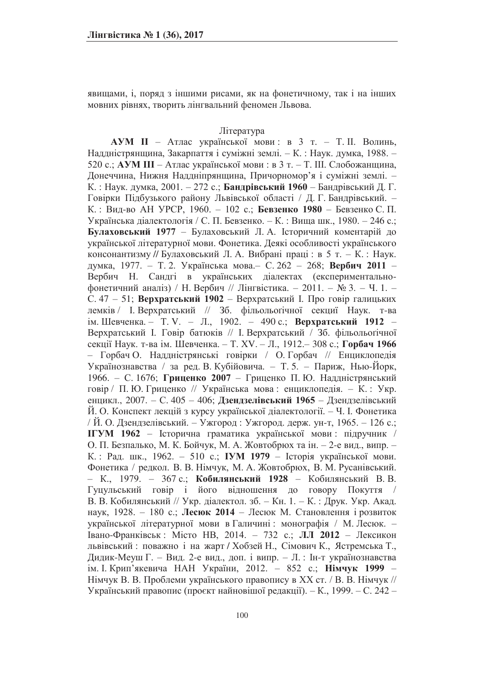явищами, і, поряд з іншими рисами, як на фонетичному, так і на інших мовних рівнях, творить лінгвальний феномен Львова.

### Література

**АУМ II** - Атлас української мови: в 3 т. - Т. II. Волинь, Наддністрянщина, Закарпаття і суміжні землі. - К. : Наук. думка, 1988. -520 с.; **АУМ III** – Атлас української мови: в 3 т. – Т. III. Слобожанщина, Донеччина, Нижня Наддніпрянщина, Причорномор'я і суміжні землі. -К.: Наук. думка, 2001. - 272 с.; Бандрівський 1960 - Бандрівський Д. Г. Говірки Підбузького району Львівської області / Д. Г. Бандрівський. -К.: Вид-во АН УРСР, 1960. - 102 с.; Бевзенко 1980 - Бевзенко С. П. Українська діалектологія / С. П. Бевзенко. – К.: Вища шк., 1980. – 246 с.; **Булаховський 1977** – Булаховський Л. А. Історичний коментарій до української літературної мови. Фонетика. Деякі особливості українського консонантизму // Булаховський Л. А. Вибрані праці: в 5 т. – К.: Наук. думка, 1977. – Т. 2. Українська мова. – С. 262 – 268; Вербич 2011 – Вербич Н. Сандгі в українських діалектах (експериментальнофонетичний аналіз) / Н. Вербич // Лінгвістика. - 2011. - № 3. - Ч. 1. -С. 47 - 51; Верхратський 1902 - Верхратський І. Про говір галицьких лемків / І. Верхратський // 3б. фільольогічної секциї Наук. т-ва ім. Шевченка. - Т. V. - Л., 1902. - 490 с.; Верхратський 1912 -Верхратський І. Говір батюків // І. Верхратський / Зб. фільольогічної секції Наук. т-ва ім. Шевченка. - Т. XV. - Л., 1912.- 308 с.; Горбач 1966 - Горбач О. Наддністрянські говірки / О. Горбач // Енциклопедія Українознавства / за ред. В. Кубійовича. – Т. 5. – Париж, Нью-Йорк, 1966. – С. 1676; **Гриценко 2007** – Гриценко П. Ю. Наддністрянський говір / П. Ю. Гриценко // Українська мова: енциклопедія. - К.: Укр. енцикл., 2007. – С. 405 – 406; Дзендзел**івський 1965** – Дзендзелівський И. О. Конспект лекцій з курсу української діалектології. – Ч. І. Фонетика / Й. О. Дзендзелівський. – Ужгород: Ужгород. держ. ун-т, 1965. – 126 с.; IГУМ 1962 - Історична граматика української мови: підручник / О. П. Безпалько, М. К. Бойчук, М. А. Жовтобрюх та ін. - 2-е вид., випр. -К.: Рад. шк., 1962. - 510 с.; IУМ 1979 - Історія української мови. Фонетика / редкол. В. В. Німчук, М. А. Жовтобрюх, В. М. Русанівський.  $-$  К., 1979. - 367 с.; Кобилянський 1928 - Кобилянський В.В. Гуцульський говір і його відношення до говору Покуття / В. В. Кобилянський // Укр. діалектол. зб. – Кн. 1. – К.: Друк. Укр. Акад. наук, 1928. - 180 с.; **Лесюк 2014** - Лесюк М. Становлення і розвиток української літературної мови в Галичині: монографія / М. Лесюк. -Івано-Франківськ: Місто НВ, 2014. - 732 с.; ЛЛ 2012 - Лексикон львівський: поважно і на жарт / Хобзей Н., Сімович К., Ястремська Т., Дидик-Меуш Г. – Вид. 2-е вид., доп. і випр. – Л. : Ін-т українознавства ім. І. Крип'якевича НАН України, 2012. - 852 с.; Німчук 1999 -Німчук В. В. Проблеми українського правопису в XX ст. / В. В. Німчук // Український правопис (проєкт найновішої редакції). – К., 1999. – С. 242 –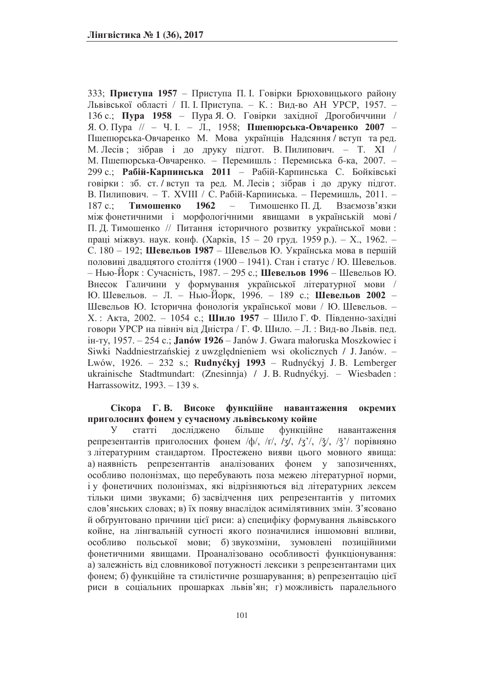333; **Приступа 1957** – Приступа П. І. Говірки Брюховицького району Львівської області / П. І. Приступа. - К.: Вид-во АН УРСР, 1957. -136 с.; Пура 1958 - Пура Я. О. Говірки західної Дрогобиччини / Я. О. Пура // - Ч. І. - Л., 1958; **Пшепюрська-Овчаренко 2007** -Пшепюрська-Овчаренко М. Мова українців Надсяння / вступ та ред. М. Лесів; зібрав і до друку підгот. В. Пилипович. – Т. XI / М. Пшепюрська-Овчаренко. – Перемишль: Перемиська б-ка, 2007. – 299 с.; Рабій-Карпинська 2011 - Рабій-Карпинська С. Бойківські говірки: зб. ст. / вступ та ред. М. Лесів; зібрав і до друку підгот. В. Пилипович. – Т. XVIII / С. Рабій-Карпинська. – Перемишль, 2011. – 187 с.: Тимошенко 1962 – Тимошенко П. Л. Взаємозв'язки між фонетичними і морфологічними явищами в українській мові / П. Д. Тимошенко // Питання історичного розвитку української мови: праці міжвуз. наук. конф. (Харків, 15 – 20 груд. 1959 р.). – Х., 1962. – С. 180 - 192; Шевельов 1987 - Шевельов Ю. Українська мова в першій половині двадцятого століття (1900 - 1941). Стан і статус / Ю. Шевельов.  $-$  Нью-Йорк : Сучасність, 1987. − 295 с.; **Шевельов 1996** – Шевельов Ю. Внесок Галичини у формування української літературної мови / Ю. Шевельов. – Л. – Нью-Йорк, 1996. – 189 с.; **Шевельов 2002** – Шевельов Ю. Історична фонологія української мови / Ю. Шевельов. -Х.: Акта, 2002. - 1054 с.; Шило 1957 - Шило Г. Ф. Південно-західні говори УРСР на північ від Дністра / Г. Ф. Шило. – Л. : Вид-во Львів. пед. in-ry, 1957. – 254 c.; **Janów 1926** – Janów J. Gwara małoruska Moszkowiec i Siwki Naddniestrzańskiej z uwzględnieniem wsi okolicznych / J. Janów. -Lwów, 1926. – 232 s.; **Rudnyćkyj 1993** – Rudnyćkyj J. B. Lemberger ukrainische Stadtmundart: (Znesinnja) / J. B. Rudnyćkyj. – Wiesbaden : Harrassowitz, 1993. - 139 s.

### Сікора Г.В. Високе функційне навантаження окремих приголосних фонем у сучасному львівському койне

У статті досліджено більше функційне навантаження репрезентантів приголосних фонем /ф/, /т/, /з/, /з'/, / $\xi$ /, / $\xi$ '/ порівняно з літературним стандартом. Простежено вияви цього мовного явища: а) наявність репрезентантів аналізованих фонем у запозиченнях, особливо полонізмах, що перебувають поза межею літературної норми, і у фонетичних полонізмах, які відрізняються від літературних лексем тільки цими звуками; б) засвідчення цих репрезентантів у питомих слов'янських словах; в) їх появу внаслідок асимілятивних змін. З'ясовано й обгрунтовано причини цієї риси: а) специфіку формування львівського койне, на лінгвальній сутності якого позначилися іншомовні впливи, особливо польської мови; б)звукозміни, зумовлені позиційними фонетичними явищами. Проаналізовано особливості функціонування: а) залежність від словникової потужності лексики з репрезентантами цих фонем; б) функційне та стилістичне розшарування; в) репрезентацію цієї риси в соціальних прошарках львів'ян; г) можливість паралельного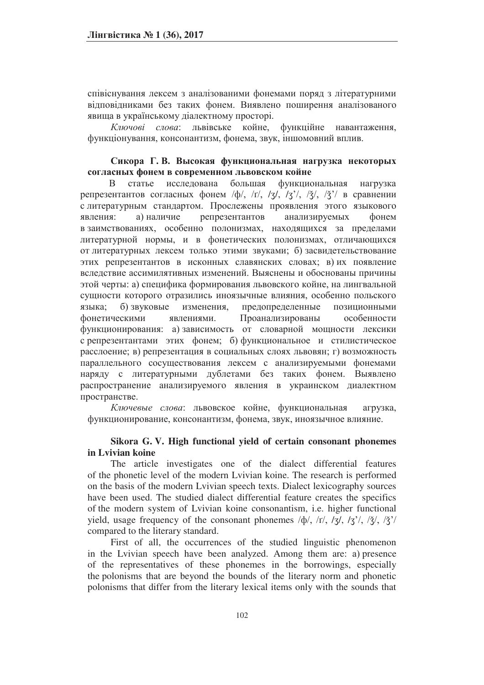співіснування лексем з аналізованими фонемами поряд з літературними відповідниками без таких фонем. Виявлено поширення аналізованого явища в українському діалектному просторі.

Ключові слова: львівське койне, функційне навантаження, функціонування, консонантизм, фонема, звук, іншомовний вплив.

### Сикора Г. В. Высокая функциональная нагрузка некоторых согласных фонем в современном львовском койне

В статье исследована большая функциональная нагрузка репрезентантов согласных фонем  $\langle \phi \rangle$ ,  $\langle \tau \rangle$ ,  $\langle \tau \rangle$ ,  $\langle \tau \rangle$ ,  $\langle \tau \rangle$ ,  $\langle \tau \rangle$ ,  $\langle \tau \rangle$  в сравнении с литературным стандартом. Прослежены проявления этого языкового явления: а) наличие репрезентантов анализируемых фонем в заимствованиях, особенно полонизмах, находящихся за пределами литературной нормы, и в фонетических полонизмах, отличающихся от литературных лексем только этими звуками; б) засвидетельствование этих репрезентантов в исконных славянских словах; в) их появление вследствие ассимилятивных изменений. Выяснены и обоснованы причины этой черты: а) специфика формирования львовского койне, на лингвальной сущности которого отразились иноязычные влияния, особенно польского языка; б) звуковые изменения, предопределенные позиционными фонетическими явлениями. Проанализированы особенности функционирования: а) зависимость от словарной мощности лексики с репрезентантами этих фонем; б) функциональное и стилистическое расслоение; в) репрезентация в социальных слоях львовян; г) возможность параллельного сосуществования лексем с анализируемыми фонемами наряду с литературными дублетами без таких фонем. Выявлено распространение анализируемого явления в украинском диалектном пространстве.

Ключевые слова: львовское койне, функциональная агрузка, функционирование, консонантизм, фонема, звук, иноязычное влияние.

### **Sikora G. V. High functional yield of certain consonant phonemes in Lvivian koine**

The article investigates one of the dialect differential features of the phonetic level of the modern Lvivian koine. The research is performed on the basis of the modern Lvivian speech texts. Dialect lexicography sources have been used. The studied dialect differential feature creates the specifics of the modern system of Lvivian koine consonantism, i.e. higher functional yield, usage frequency of the consonant phonemes  $\langle \phi \rangle$ ,  $\langle \tau \rangle$ ,  $\langle \tau \rangle$ ,  $\langle \tau \rangle$ ,  $\langle \tau \rangle$ ,  $\langle \tau \rangle$ ,  $\langle \tau \rangle$ ,  $\langle \tau \rangle$ ,  $\langle \tau \rangle$ compared to the literary standard.

First of all, the occurrences of the studied linguistic phenomenon in the Lvivian speech have been analyzed. Among them are: a) presence of the representatives of these phonemes in the borrowings, especially the polonisms that are beyond the bounds of the literary norm and phonetic polonisms that differ from the literary lexical items only with the sounds that